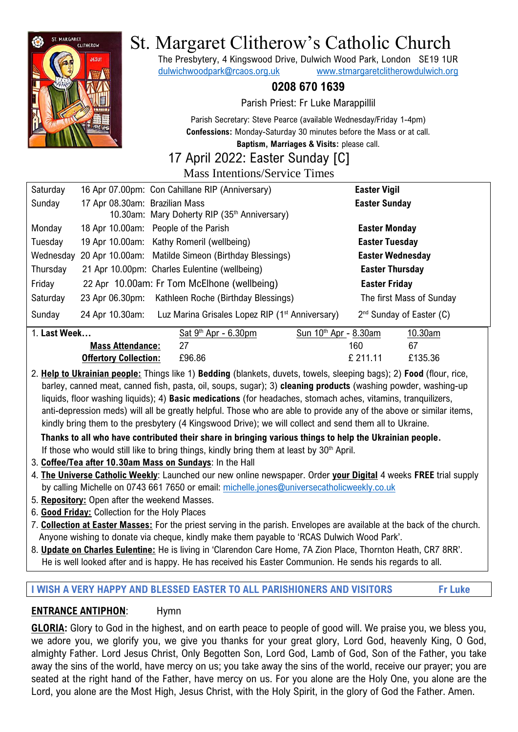

# St. Margaret Clitherow's Catholic Church

The Presbytery, 4 Kingswood Drive, Dulwich Wood Park, London SE19 1UR [dulwichwoodpark@rcaos.org.uk](mailto:dulwichwoodpark@rcaos.org.uk) [www.stmargaretclitherowdulwich.org](http://www.stmargaretclitherowdulwich.org/)

## **0208 670 1639**

Parish Priest: Fr Luke Marappillil

Parish Secretary: Steve Pearce (available Wednesday/Friday 1-4pm) **Confessions:** Monday-Saturday 30 minutes before the Mass or at call.

**Baptism, Marriages & Visits:** please call.

#### 17 April 2022: Easter Sunday [C]

#### Mass Intentions/Service Times

| Saturday     |                                | 16 Apr 07.00pm: Con Cahillane RIP (Anniversary)                             | <b>Easter Vigil</b>        |
|--------------|--------------------------------|-----------------------------------------------------------------------------|----------------------------|
| Sunday       | 17 Apr 08.30am: Brazilian Mass |                                                                             | <b>Easter Sunday</b>       |
|              |                                | 10.30am: Mary Doherty RIP (35th Anniversary)                                |                            |
| Monday       |                                | 18 Apr 10.00am: People of the Parish                                        | <b>Easter Monday</b>       |
| Tuesday      |                                | 19 Apr 10.00am: Kathy Romeril (wellbeing)                                   | <b>Easter Tuesday</b>      |
| Wednesday    |                                | 20 Apr 10.00am: Matilde Simeon (Birthday Blessings)                         | <b>Easter Wednesday</b>    |
| Thursday     |                                | 21 Apr 10.00pm: Charles Eulentine (wellbeing)                               | <b>Easter Thursday</b>     |
| Friday       |                                | 22 Apr 10.00am: Fr Tom McElhone (wellbeing)                                 | <b>Easter Friday</b>       |
| Saturday     |                                | 23 Apr 06.30pm: Kathleen Roche (Birthday Blessings)                         | The first Mass of Sunday   |
| Sunday       |                                | 24 Apr 10.30am: Luz Marina Grisales Lopez RIP (1 <sup>st</sup> Anniversary) | $2nd$ Sunday of Easter (C) |
| 1. Last Week |                                | Sat $9th$ Apr - 6.30pm<br>Sun $10th$ Apr - 8.30am                           | 10.30am                    |

| vveek                        | Sat 9 Hor - 6.30pm | Sun Tu Apr - 8.30am | TU.30am |
|------------------------------|--------------------|---------------------|---------|
| <b>Mass Attendance:</b>      |                    | 160                 |         |
| <b>Offertory Collection:</b> | £96.86             | $f$ 211.11          | £135.36 |

2. **Help to Ukrainian people:** Things like 1) **Bedding** (blankets, duvets, towels, sleeping bags); 2) **Food** (flour, rice, barley, canned meat, canned fish, pasta, oil, soups, sugar); 3) **cleaning products** (washing powder, washing-up liquids, floor washing liquids); 4) **Basic medications** (for headaches, stomach aches, vitamins, tranquilizers, anti-depression meds) will all be greatly helpful. Those who are able to provide any of the above or similar items, kindly bring them to the presbytery (4 Kingswood Drive); we will collect and send them all to Ukraine.

 **Thanks to all who have contributed their share in bringing various things to help the Ukrainian people.** If those who would still like to bring things, kindly bring them at least by  $30<sup>th</sup>$  April.

- 3. **Coffee/Tea after 10.30am Mass on Sundays**: In the Hall
- 4. **The Universe Catholic Weekly**: Launched our new online newspaper. Order **your Digital** 4 weeks **FREE** trial supply by calling Michelle on 0743 661 7650 or email: [michelle.jones@universecatholicweekly.co.uk](mailto:michelle.jones@universecatholicweekly.co.uk)
- 5. **Repository:** Open after the weekend Masses.
- 6. **Good Friday:** Collection for the Holy Places
- 7. **Collection at Easter Masses:** For the priest serving in the parish. Envelopes are available at the back of the church. Anyone wishing to donate via cheque, kindly make them payable to 'RCAS Dulwich Wood Park'.
- 8. **Update on Charles Eulentine:** He is living in 'Clarendon Care Home, 7A Zion Place, Thornton Heath, CR7 8RR'. He is well looked after and is happy. He has received his Easter Communion. He sends his regards to all.

#### **I WISH A VERY HAPPY AND BLESSED EASTER TO ALL PARISHIONERS AND VISITORS Fr Luke**

## **ENTRANCE ANTIPHON**: Hymn

**GLORIA:** Glory to God in the highest, and on earth peace to people of good will. We praise you, we bless you, we adore you, we glorify you, we give you thanks for your great glory, Lord God, heavenly King, O God, almighty Father. Lord Jesus Christ, Only Begotten Son, Lord God, Lamb of God, Son of the Father, you take away the sins of the world, have mercy on us; you take away the sins of the world, receive our prayer; you are seated at the right hand of the Father, have mercy on us. For you alone are the Holy One, you alone are the Lord, you alone are the Most High, Jesus Christ, with the Holy Spirit, in the glory of God the Father. Amen.